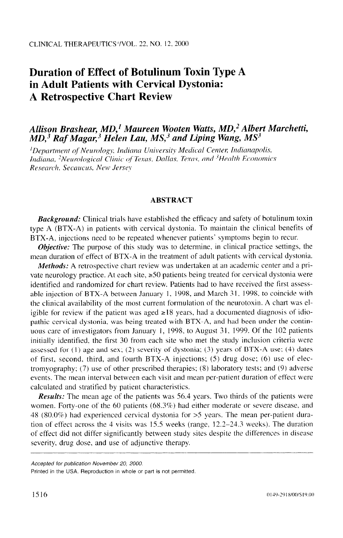# **Duration of Effect of Botulinum Toxin Type A in Adult Patients with Cervical Dystonia: A Retrospective Chart Review**

## *Allison Brashear, MD,' Maureen Wooten Watts, &ID,2 Albert Marchetti,*   $MD<sub>1</sub><sup>3</sup>$  Raf Magar,<sup>3</sup> Helen Lau, MS<sub>1</sub><sup>3</sup> and Liping Wang, MS<sup>3</sup>

<sup>1</sup>Department of Neurology, Indiana University Medical Center, Indianapolis, *hdiana, <sup>2</sup>Neurological Clinic of Texas, Dallas, Texas, and <sup>3</sup>Health Economics Research, Secaucus, New Jersey* 

#### **ABSTRACT**

**Background:** Clinical trials have established the efficacy and safety of botulinum toxin type A (BTX-A) in patients with cervical dystonia. To maintain the clinical benefits of BTX-A. injections need to be repeated whenever patients' symptoms begin to recur.

*Objective:* The purpose of this study was to determine, in clinical practice settings. the mean duration of effect of BTX-A in the treatment of adult patients with cervical dystonia.

*Methods:* A retrospective chart review was undertaken at an academic center and a private neurology practice. At each site,  $\geq 50$  patients being treated for cervical dystonia were identified and randomized for chart review. Patients had to have received the first assessable injection of BTX-A between January 1, 1998, and March 31, 1998, to coincide with the clinical availability of the most current formulation of the neurotoxin. A chart was eligible for review if the patient was aged  $\geq 18$  years, had a documented diagnosis of idiopathic cervical dystonia, was being treated with BTX-A, and had been under the continuous care of investigators from January 1, 1998, to August 31, 1999. Of the 102 patients initially identified. the first 30 from each site who met the study inclusion criteria were assessed for  $(1)$  age and sex;  $(2)$  severity of dystonia;  $(3)$  years of BTX-A use;  $(4)$  dates of first, second, third, and fourth  $BTX-A$  injections; (5) drug dose; (6) use of electromyography; (7) use of other prescribed therapies; (8) laboratory tests; and (9) adverse events. The mean interval between each visit and mean per-patient duration of effect were calculated and stratified by patient characteristics.

*Results:* The mean age of the patients was 56.4 years. Two thirds of the patients were women. Forty-one of the 60 patients (68.3%) had either moderate or severe disease, and 48 (80.0%) had experienced cervical dystonia for >5 years. The mean per-patient duration of effect across the 4 visits was 15.5 weeks (range. 12.2-24.3 weeks). The duration of effect did not differ significantly between study sites despite the differences in disease severity. drug dose, and use of adjunctive therapy.

*Accepted for publication November 20, 2000.* 

Printed in the USA. Reproduction in whole or part is not permitted.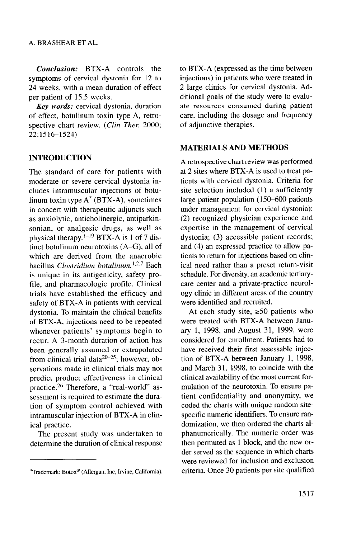*Conclusion:* BTX-A controls the symptoms of cervical dystonia for *12* to *24* weeks, with a mean duration of effect per patient of 15.5 weeks.

*Key words:* cervical dystonia, duration of effect, botulinum toxin type A, retrospective chart review. *(Clin Ther.* 2000; 22:1516-1524)

## **INTRODUCTION**

The standard of care for patients with moderate or severe cervical dystonia includes intramuscular injections of botulinum toxin type A\* (BTX-A), sometimes in concert with therapeutic adjuncts such as anxiolytic, anticholinergic, antiparkinsonian, or analgesic drugs, as well as physical therapy.<sup> $1-19$ </sup> BTX-A is 1 of 7 distinct botulinum neurotoxins (A-G), all of which are derived from the anaerobic bacillus *Clostridium botulinum*.<sup>1,2,7</sup> Each is unique in its antigenicity, safety profile, and pharmacologic profile. Clinical trials have established the efficacy and safety of BTX-A in patients with cervical dystonia. To maintain the clinical benefits of BTX-A, injections need to be repeated whenever patients' symptoms begin to recur. A 3-month duration of action has been generally assumed or extrapolated from clinical trial data $20-25$ ; however, observations made in clinical trials may not predict product effectiveness in clinical practice. 26 Therefore, a "real-world" assessment is required to estimate the duration of symptom control achieved with intramuscular injection of BTX-A in clinical practice.

The present study was undertaken to determine the duration of clinical response to BTX-A (expressed as the time between injections) in patients who were treated in 2 large clinics for cervical dystonia. Additional goals of the study were to evaluate resources consumed during patient care, including the dosage and frequency of adjunctive therapies.

#### **MATERIALS AND METHODS**

A retrospective chart review was performed at 2 sites where BTX-A is used to treat patients with cervical dystonia. Criteria for site selection included (1) a sufficiently large patient population (150-600 patients under management for cervical dystonia); (2) recognized physician experience and expertise in the management of cervical dystonia; (3) accessible patient records; and (4) an expressed practice to allow patients to return for injections based on clinical need rather than a preset return-visit schedule. For diversity, an academic tertiarycare center and a private-practice neurology clinic in different areas of the country were identified and recruited.

At each study site,  $\geq 50$  patients who were treated with BTX-A between January 1, 1998, and August 31, 1999, were considered for enrollment. Patients had to have received their first assessable injection of BTX-A between January 1, 1998, and March 31, 1998, to coincide with the clinical availability of the most current formulation of the neurotoxin. To ensure patient confidentiality and anonymity, we coded the charts with unique random sitespecific numeric identifiers. To ensure randomization, we then ordered the charts alphanumerically. The numeric order was then permuted as 1 block, and the new order served as the sequence in which charts were reviewed for inclusion and exclusion criteria. Once 30 patients per site qualified

<sup>\*</sup>Trademark: Botox@ (Allergan, Inc, Irvine, California).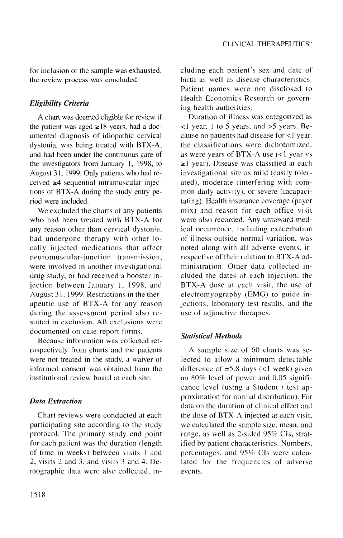for inclusion or the sample was exhausted, the review process was concluded.

### *Eligibility Criteria*

A chart was deemed eligible for review if the patient was aged  $\geq 18$  years, had a documented diagnosis of idiopathic cervical dystonia, was being treated with BTX-A, and had been under the continuous care of the investigators from January I, 1998, to August 31, 1999. Only patients who had received  $\geq 4$  sequential intramuscular injections of BTX-A during the study entry period were included.

We excluded the charts of any patients who had been treated with BTX-A for any reason other than cervical dystonia, had undergone therapy with other locally injected medications that affect neuromuscular-junction transmission, were involved in another investigational drug study, or had received a booster injection between January I, 1998, and August 31, 1999. Restrictions in the therapeutic use of BTX-A for any reason during the assessment period also resulted in exclusion. All exclusions were documented on case-report forms.

Because information was collected retrospectively from charts and the patients were not treated in the study, a waiver of informed consent was obtained from the institutional review board at each site.

#### *Data Extraction*

participating site according to the study we calculated the sample size, mean, and protocol. The primary study end point range, as well as 2-sided  $95\%$  CIs, stratfor each patient was the duration (length ified by patient characteristics. Numbers. of time in weeks) between visits 1 and percentages, and 95% CIs were calcu-2, visits 2 and 3, and visits 3 and 4. De- lated for the frequencies of adverse mographic data were also collected. in- events.

eluding each patient's sex and date of birth as well as disease characteristics. Patient names were not disclosed to Health Economics Research or governing health authorities.

Duration of illness was categorized as <I year. I to 5 years, and >S years. Because no patients had disease for <I year. the classifications were dichotomized. as were years of BTX-A use (<l year vs  $\geq$ 1 year). Disease was classified at each investigational site as mild (easily tolerated), moderate (interfering with common daily activity), or severe (incapacitating). Health insurance coverage (payer mix) and reason for each office visit were also recorded. Any untoward medical occurrence, including exacerbation of illness outside normal variation, was noted along with all adverse events. irrespective of their relation to BTX-A administration. Other data collected included the dates of each injection. the BTX-A dose at each visit. the use of electromyography (EMG) to guide injections, laboratory test results. and the use of adjunctive therapies.

#### *Statistical Methods*

A sample size of 60 charts was selected to allow a minimum detectable difference of  $\pm$ 5.8 days (<1 week) given an 80% level of power and 0.05 significance level (using a Student  $t$  test approximation for normal distribution). For data on the duration of clinical effect and Chart reviews were conducted at each the dose of BTX-A injected at each visit,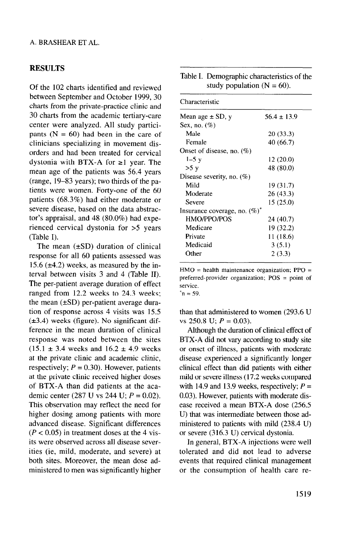## RESULTS

Of the 102 charts identified and reviewed between September and October 1999, 30 charts from the private-practice clinic and 30 charts from the academic tertiary-care center were analyzed. All study participants  $(N = 60)$  had been in the care of clinicians specializing in movement disorders and had been treated for cervical dystonia with BTX-A for  $\geq 1$  year. The mean age of the patients was 56.4 years (range, 19-83 years); two thirds of the patients were women. Forty-one of the 60 patients (68.3%) had either moderate or severe disease, based on the data abstractor's appraisal, and 48 (80.0%) had experienced cervical dystonia for >5 years (Table I).

The mean  $(\pm SD)$  duration of clinical response for all 60 patients assessed was 15.6 ( $\pm$ 4.2) weeks, as measured by the interval between visits 3 and 4 (Table II). The per-patient average duration of effect ranged from 12.2 weeks to 24.3 weeks; the mean  $(\pm SD)$  per-patient average duration of response across 4 visits was 15.5  $(\pm 3.4)$  weeks (figure). No significant difference in the mean duration of clinical response was noted between the sites  $(15.1 \pm 3.4$  weeks and  $16.2 \pm 4.9$  weeks at the private clinic and academic clinic, respectively;  $P = 0.30$ ). However, patients at the private clinic received higher doses of BTX-A than did patients at the academic center (287 U vs 244 U; *P =* 0.02). This observation may reflect the need for higher dosing among patients with more advanced disease. Significant differences  $(P < 0.05)$  in treatment doses at the 4 visits were observed across all disease severities (ie, mild, moderate, and severe) at both sites. Moreover, the mean dose administered to men was significantly higher

| Table I. Demographic characteristics of the |
|---------------------------------------------|
| study population ( $N = 60$ ).              |

| Characteristic                   |                 |
|----------------------------------|-----------------|
| Mean age $\pm$ SD, y             | $56.4 \pm 13.9$ |
| Sex, no. $(\%)$                  |                 |
| Male                             | 20(33.3)        |
| Female                           | 40 (66.7)       |
| Onset of disease, no. $(\%)$     |                 |
| $1-5y$                           | 12 (20.0)       |
| >5 y                             | 48 (80.0)       |
| Disease severity, no. $(\%)$     |                 |
| Mild                             | 19 (31.7)       |
| Moderate                         | 26 (43.3)       |
| Severe                           | 15 (25.0)       |
| Insurance coverage, no. $(\%)^*$ |                 |
| HMO/PPO/POS                      | 24 (40.7)       |
| Medicare                         | 19 (32.2)       |
| Private                          | 11 (18.6)       |
| Medicaid                         | 3(5.1)          |
| Other                            | 2(3.3)          |
|                                  |                 |

 $HMO =$  health maintenance organization; PPO = preferred-provider organization;  $POS = point$  of service.

 $n = 59$ .

than that administered to women (293.6 U vs 250.8 U; *P =* 0.03).

Although the duration of clinical effect of BTX-A did not vary according to study site or onset of illness, patients with moderate disease experienced a significantly longer clinical effect than did patients with either mild or severe illness (17.2 weeks compared with 14.9 and 13.9 weeks, respectively;  $P =$ 0.03). However, patients with moderate disease received a mean BTX-A dose (256.5 U) that was intermediate between those administered to patients with mild (238.4 U) or severe (316.3 U) cervical dystonia.

In general, BTX-A injections were well tolerated and did not lead to adverse events that required clinical management or the consumption of health care re-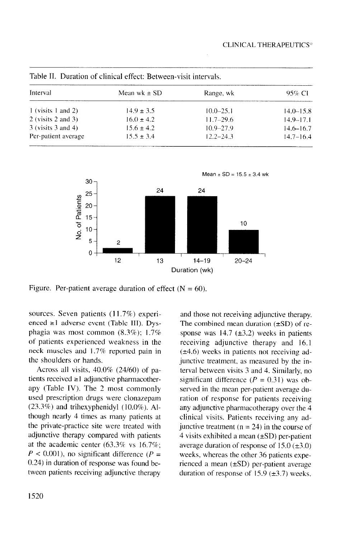| Table II. Duration of clinical effect: Between-visit intervals. |                  |               |               |  |  |
|-----------------------------------------------------------------|------------------|---------------|---------------|--|--|
| Interval                                                        | Mean wk $\pm$ SD | Range, wk     | 95% CI        |  |  |
| 1 (visits 1 and 2)                                              | $14.9 \pm 3.5$   | $10.0 - 25.1$ | $14.0 - 15.8$ |  |  |
| 2 (visits $2$ and $3$ )                                         | $16.0 \pm 4.2$   | $11.7 - 29.6$ | $14.9 - 17.1$ |  |  |
| $3$ (visits $3$ and $4$ )                                       | $15.6 \pm 4.2$   | $10.9 - 27.9$ | $14.6 - 16.7$ |  |  |
| Per-patient average                                             | $15.5 \pm 3.4$   | $12.2 - 24.3$ | $14.7 - 16.4$ |  |  |



Figure. Per-patient average duration of effect  $(N = 60)$ .

sources. Seven patients (11.7%) experienced  $\geq 1$  adverse event (Table III). Dysphagia was most common (8.3%); 1.7% of patients experienced weakness in the neck muscles and I .7% reported pain in the shoulders or hands.

Across all visits. 40.0% (24/60) of patients received  $\geq 1$  adjunctive pharmacotherapy (Table IV). The 2 most commonly used prescription drugs were clonazepam  $(23.3\%)$  and trihexyphenidyl  $(10.0\%)$ . Although nearly 4 times as many patients at the private-practice site were treated with adjunctive therapy compared with patients at the academic center (63.3% vs 16.7%;  $P < 0.001$ ), no significant difference ( $P =$ 0.24) in duration of response was found between patients receiving adjunctive therapy

and those not receiving adjunctive therapy. The combined mean duration  $(\pm SD)$  of response was  $14.7$  ( $\pm 3.2$ ) weeks in patients receiving adjunctive therapy and 16.1  $(\pm 4.6)$  weeks in patients not receiving adjunctive treatment, as measured by the interval between visits 3 and 4. Similarly, no significant difference  $(P = 0.31)$  was observed in the mean per-patient average duration of response for patients receiving any adjunctive pharmacotherapy over the 4 clinical visits. Patients receiving any adjunctive treatment ( $n = 24$ ) in the course of  $4$  visits exhibited a mean ( $\pm SD$ ) per-patient average duration of response of  $15.0 \ (\pm 3.0)$ weeks, whereas the other 36 patients experienced a mean  $(\pm SD)$  per-patient average duration of response of 15.9  $(\pm 3.7)$  weeks.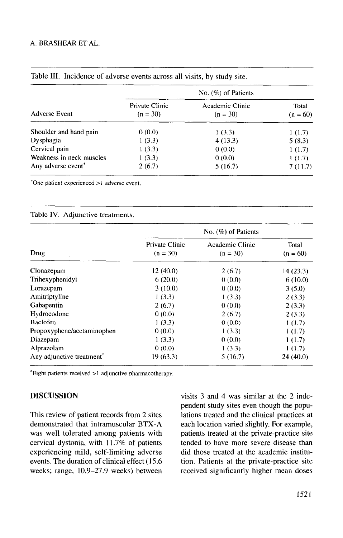|                          | No. $(\%)$ of Patients |         |         |  |
|--------------------------|------------------------|---------|---------|--|
|                          |                        |         |         |  |
| Shoulder and hand pain   | 0(0.0)                 | 1(3.3)  | 1(1.7)  |  |
| Dysphagia                | 1(3.3)                 | 4(13.3) | 5(8.3)  |  |
| Cervical pain            | 1(3.3)                 | 0(0.0)  | 1(1.7)  |  |
| Weakness in neck muscles | 1(3.3)                 | 0(0.0)  | 1(1.7)  |  |
| Any adverse event*       | 2(6.7)                 | 5(16.7) | 7(11.7) |  |
|                          |                        |         |         |  |

## Table III. Incidence of adverse events across all visits, by study site.

\*One patient experienced >I adverse event.

#### Table IV. Adjunctive treatments.

|                                       | No. $(\%)$ of Patients       |                               |                     |  |
|---------------------------------------|------------------------------|-------------------------------|---------------------|--|
| Drug                                  | Private Clinic<br>$(n = 30)$ | Academic Clinic<br>$(n = 30)$ | Total<br>$(n = 60)$ |  |
| Clonazepam                            | 12(40.0)                     | 2(6.7)                        | 14 (23.3)           |  |
| Trihexyphenidyl                       | 6(20.0)                      | 0(0.0)                        | 6(10.0)             |  |
| Lorazepam                             | 3(10.0)                      | 0(0.0)                        | 3(5.0)              |  |
| Amitriptyline                         | 1(3.3)                       | 1(3.3)                        | 2(3.3)              |  |
| Gabapentin                            | 2(6.7)                       | 0(0.0)                        | 2(3.3)              |  |
| Hydrocodone                           | 0(0.0)                       | 2(6.7)                        | 2(3.3)              |  |
| Baclofen                              | 1(3.3)                       | 0(0.0)                        | 1(1.7)              |  |
| Propoxyphene/acetaminophen            | 0(0.0)                       | 1(3.3)                        | 1(1.7)              |  |
| Diazepam                              | 1(3.3)                       | 0(0.0)                        | 1(1.7)              |  |
| Alprazolam                            | 0(0.0)                       | 1(3.3)                        | 1(1.7)              |  |
| Any adjunctive treatment <sup>*</sup> | 19 (63.3)                    | 5(16.7)                       | 24(40.0)            |  |

 $*$ Eight patients received  $>1$  adjunctive pharmacotherapy.

#### **DISCUSSION**

This review of patient records from 2 sites demonstrated that intramuscular BTX-A was well tolerated among patients with cervical dystonia, with 11.7% of patients experiencing mild, self-limiting adverse events. The duration of clinical effect (15.6 weeks; range, 10.9-27.9 weeks) between

visits 3 and 4 was similar at the 2 independent study sites even though the populations treated and the clinical practices at each location varied slightly. For example, patients treated at the private-practice site tended to have more severe disease than did those treated at the academic institution. Patients at the private-practice site received significantly higher mean doses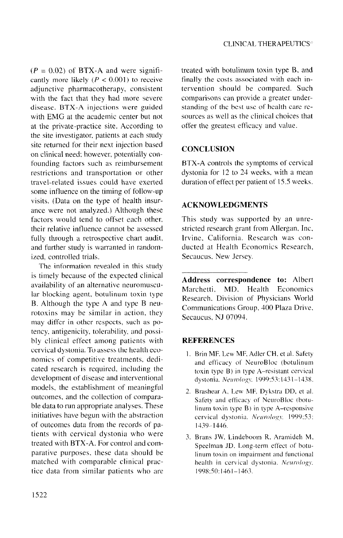$(P = 0.02)$  of BTX-A and were significantly more likely ( $P < 0.001$ ) to receive adjunctive pharmacotherapy, consistent with the fact that they had more severe disease. **BTX-A** injections were guided with **EMG** at the academic center but not at the private-practice site. According to the site investigator. patients at each study site returned for their next injection based on clinical need: however, potentially confounding factors such as reimbursement restrictions and transportation or other travel-related issues could have exerted some influence on the timing of follow-up visits. (Data on the type of health insurance were not analyzed.) Although these factors would tend to offset each other. their relative influence cannot be assessed fully through a retrospective chart audit. and further study is warranted in randomized. controlled trials.

The information revealed in this study is timely because of the expected clinical availability of an alternative neuromuscular blocking agent, botulinum toxin type B. Although the type A and type B neurotoxinx may be similar in action, they may differ in other respects, such as potency. antigenicity. tolerability. and possibly clinical effect among patients with cervical dystonia. To assess the health economics of competitive treatments. dedicated research is required, including the development of disease and interventional models, the establishment of meaningful outcomes, and the collection of comparable data to run appropriate analyses. These initiatives have begun with the abstraction of outcomes data from the records of patients with cervical dystonia who were treated with BTX-A. For control and comparative purposes. these data should be matched with comparable clinical practice data from similar patients who are treated with botulinum toxin type B, and finally the costs associated with each intervention should be compared. Such comparisons can provide a greater understanding of the best use of health care resources as well as the clinical choices that offer the greatest efficacy and value.

## **CONCLUSION**

**BTX-A** controls the symptoms of cervical dystonia for 12 to 23 weeks, with a mean duration of effect per patient of 15.5 weeks.

## ACKNOWLEDGMENTS

This study was supported by an unrestricted research grant from Allergan, Inc. Irvine, California. Research was conducted at Health Economics Research. Secaucus, New Jersey.

**Address correspondence to:** Albert Marchetti. MD. Health Economics Research. Division of Physicians World Communications Group. 300 Plaza Drive. Secaucus, NJ 07094.

## **REFERENCES**

- 1. Brin MF, Lew MF, Adler CH, et al. Safety and efficacy of NeuroBloc (botulinum toxin type B) in type A-resistant cervical dystonia. Neurology. 1999;53:1431-1438.
- Brashear A. Lew ME Dyhstra DD, et al. Safety and efficacy of NeuroBloc (botulinum toxin type B) in type A-responsive cervical dystonia. Neurology. 1999;53: 1439-1446.
- 3. Brans JW, Lindeboom R, Aramideh M, Speelman JD. Long-term effect of hotulinurn toxin on impairment and functional health in cervical dystonia. Neurology, I098:50:I46-1163.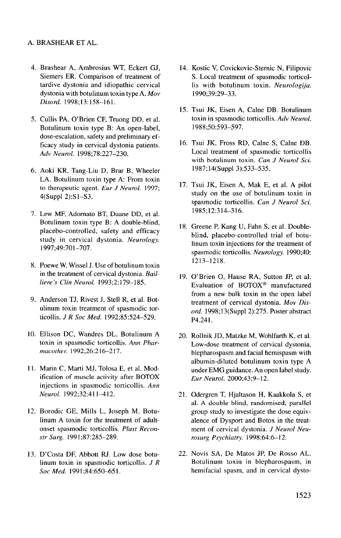#### A. BRASHEAR ET AL.

- 4. Brashear A, Ambrosius WT, Eckert GJ, Siemers ER. Comparison of treatment of tardive dystonia and idiopathic cervical dystonia with botulinum toxin type A.  $Mov$ Disord. 1998;13:158-161.
- 5. Cullis PA, O'Brien CF, Truong DD, et al. Botulinum toxin type B: An open-label, dose-escalation, safety and preliminary efficacy study in cervical dystonia patients. *Adv Neurol. 1998;78:227-230.*
- 6. Aoki KR, Tang-Liu D, Brar B, Wheele LA. Botulinum toxin type A: From toxin to therapeutic agent. *Eur J Neurol.* 1997; 4(Suppl 2):Sl-S3.
- I. Lew MF, Adornato BT, Duane DD, et al. Botulinum toxin type B: A double-blind, placebo-controlled, safety and efficacy study in cervical dystonia. *Neurology.*  1997;49:701-707.
- 8. Poewe W, Wissel J. Use of botulinum toxin in the treatment of cervical dystonia. Bail*liere's Clin Neurol.* 1993;2: 179-l 85.
- 9. Anderson TJ, Rivest J, Stell R, et al. Botulinum toxin treatment of spasmodic torticollis. *J R Soc Med.* 1992;85:524-529.
- 10. Ellison DC, Wandres DL. Botulinurn A toxin in spasmodic torticollis. *Ann Pharmacother: 1992;26:216-217.*
- Il. Marin C, Marti MJ, Tolosa E, et al. Modification of muscle activity after BOTOX injections in spasmodic torticollis. *Ann Neurol.* 1992;32:4 I l-4 12.
- 12. Borodic GE, Mills L, Joseph M. Botulinum A toxin for the treatment of adultonset spasmodic torticollis. Plast *Reconstr Surg.* 199 1;87:285-289.
- 13. D'Costa DF, Abbott RJ. Low dose botulinum toxin in spasmodic torticollis. *J R Sot Med.* 1991;84:650-65 1.
- 14. Kostic V, Covickovic-Stemic N, Filipovic S. Local treatment of spasmodic torticollis with botulinurn toxin. *Neurologija.*  1990;39:29-33.
- 15. Tsui JK, Eisen A, Calne DB. Botulinum toxin in spasmodic torticollis. *Adv Neural. 1988;50:593-597.*
- 16. Tsui JK, Fross RD, Calne S, Calne DB. Local treatment of spasmodic torticollis with botulinurn toxin. Can *J Neurol Sci.*  1987;14(Suppl 3):533-535.
- 17. Tsui JK, Eisen A, Mak E, et al. A pilot study on the use of botulinum toxin in spasmodic torticollis. Can *J* Neurol Sci. 1985;12:314-316.
- 18. Greene P, Kang U, Fahn S, et al. Doubleblind, placebo-controlled trial of botulinum toxin injections for the treatment of spasmodic torticollis. Neurology. 1990;40: 1213-1218.
- 19. O'Brien 0, Hause RA, Sutton JP, et al. Evaluation of BOTOX@ manufactured from a new bulk toxin in the open label treatment of cervical dystonia. Mov *Disord.* 1998; 13(Suppl 2):275. Poster abstract P4.241.
- 20. Rollnik JD, Matzke M, Wohlfarth K, et al. Low-dose treatment of cervical dystonia, blepharospasm and facial hemispasm with albumin-diluted botulinum toxin type A under EMG guidance. An open label study. *Eur* Neurol. 2000;43:9-12.
- 21. Odergren T, Hjaltason H, Kaakkola S, et al. A double blind, randomised, parallel group study to investigate the dose equivalence of Dysport and Botox in the treatment of cervical dystonia. *J Neural Neurosurg Psychiatry* 1998;64:6-12.
- 22. Novis SA, De Matos JP, De Rosso AL. Botulinum toxin in blepharospasm, in hemifacial spasm, and in cervical dysto-